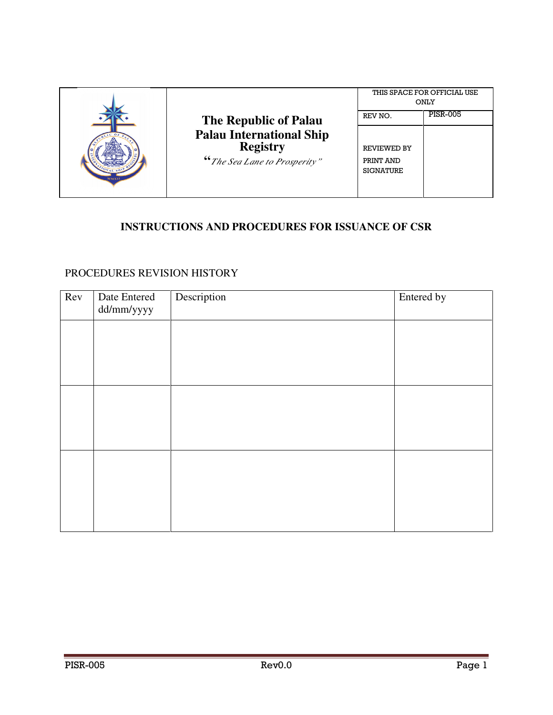|      | <b>The Republic of Palau</b><br><b>Palau International Ship</b><br><b>Registry</b><br>"The Sea Lane to Prosperity" | THIS SPACE FOR OFFICIAL USE<br><b>ONLY</b>                     |                 |
|------|--------------------------------------------------------------------------------------------------------------------|----------------------------------------------------------------|-----------------|
| MMXI |                                                                                                                    | REV NO.<br><b>REVIEWED BY</b><br>PRINT AND<br><b>SIGNATURE</b> | <b>PISR-005</b> |

# **INSTRUCTIONS AND PROCEDURES FOR ISSUANCE OF CSR**

## PROCEDURES REVISION HISTORY

| Rev | Date Entered<br>dd/mm/yyyy | Description | Entered by |
|-----|----------------------------|-------------|------------|
|     |                            |             |            |
|     |                            |             |            |
|     |                            |             |            |
|     |                            |             |            |
|     |                            |             |            |
|     |                            |             |            |
|     |                            |             |            |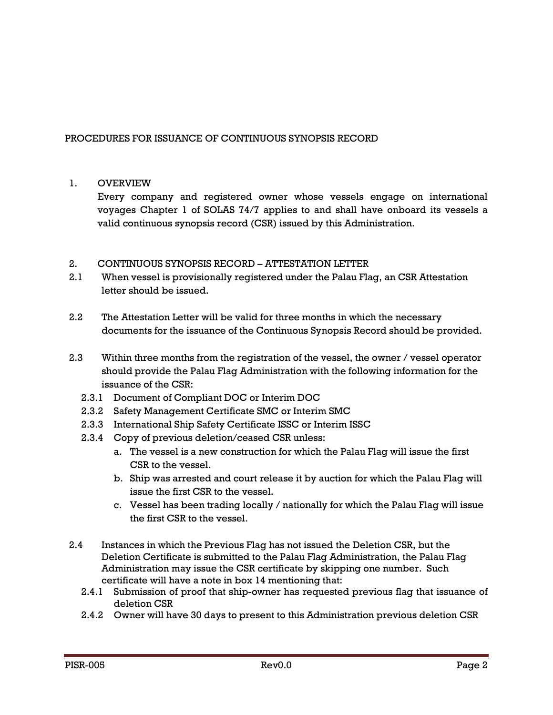### PROCEDURES FOR ISSUANCE OF CONTINUOUS SYNOPSIS RECORD

### 1. OVERVIEW

Every company and registered owner whose vessels engage on international voyages Chapter 1 of SOLAS 74/7 applies to and shall have onboard its vessels a valid continuous synopsis record (CSR) issued by this Administration.

### 2. CONTINUOUS SYNOPSIS RECORD – ATTESTATION LETTER

- 2.1 When vessel is provisionally registered under the Palau Flag, an CSR Attestation letter should be issued.
- 2.2 The Attestation Letter will be valid for three months in which the necessary documents for the issuance of the Continuous Synopsis Record should be provided.
- 2.3 Within three months from the registration of the vessel, the owner / vessel operator should provide the Palau Flag Administration with the following information for the issuance of the CSR:
	- 2.3.1 Document of Compliant DOC or Interim DOC
	- 2.3.2 Safety Management Certificate SMC or Interim SMC
	- 2.3.3 International Ship Safety Certificate ISSC or Interim ISSC
	- 2.3.4 Copy of previous deletion/ceased CSR unless:
		- a. The vessel is a new construction for which the Palau Flag will issue the first CSR to the vessel.
		- b. Ship was arrested and court release it by auction for which the Palau Flag will issue the first CSR to the vessel.
		- c. Vessel has been trading locally / nationally for which the Palau Flag will issue the first CSR to the vessel.
- 2.4 Instances in which the Previous Flag has not issued the Deletion CSR, but the Deletion Certificate is submitted to the Palau Flag Administration, the Palau Flag Administration may issue the CSR certificate by skipping one number. Such certificate will have a note in box 14 mentioning that:
	- 2.4.1 Submission of proof that ship-owner has requested previous flag that issuance of deletion CSR
	- 2.4.2 Owner will have 30 days to present to this Administration previous deletion CSR